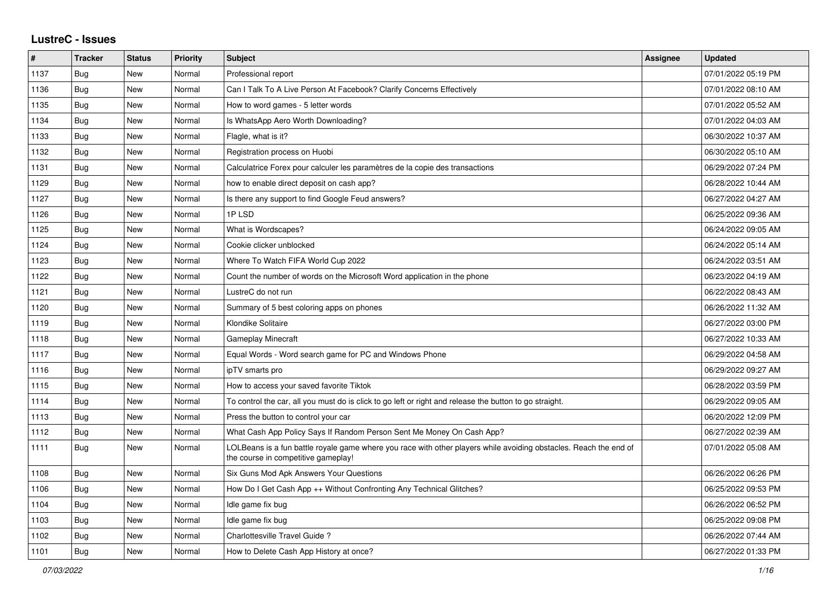## **LustreC - Issues**

| #    | <b>Tracker</b> | <b>Status</b> | <b>Priority</b> | <b>Subject</b>                                                                                                                                           | <b>Assignee</b> | <b>Updated</b>      |
|------|----------------|---------------|-----------------|----------------------------------------------------------------------------------------------------------------------------------------------------------|-----------------|---------------------|
| 1137 | Bug            | New           | Normal          | Professional report                                                                                                                                      |                 | 07/01/2022 05:19 PM |
| 1136 | <b>Bug</b>     | New           | Normal          | Can I Talk To A Live Person At Facebook? Clarify Concerns Effectively                                                                                    |                 | 07/01/2022 08:10 AM |
| 1135 | <b>Bug</b>     | New           | Normal          | How to word games - 5 letter words                                                                                                                       |                 | 07/01/2022 05:52 AM |
| 1134 | Bug            | New           | Normal          | Is WhatsApp Aero Worth Downloading?                                                                                                                      |                 | 07/01/2022 04:03 AM |
| 1133 | <b>Bug</b>     | New           | Normal          | Flagle, what is it?                                                                                                                                      |                 | 06/30/2022 10:37 AM |
| 1132 | <b>Bug</b>     | New           | Normal          | Registration process on Huobi                                                                                                                            |                 | 06/30/2022 05:10 AM |
| 1131 | <b>Bug</b>     | New           | Normal          | Calculatrice Forex pour calculer les paramètres de la copie des transactions                                                                             |                 | 06/29/2022 07:24 PM |
| 1129 | <b>Bug</b>     | New           | Normal          | how to enable direct deposit on cash app?                                                                                                                |                 | 06/28/2022 10:44 AM |
| 1127 | Bug            | New           | Normal          | Is there any support to find Google Feud answers?                                                                                                        |                 | 06/27/2022 04:27 AM |
| 1126 | <b>Bug</b>     | New           | Normal          | 1PLSD                                                                                                                                                    |                 | 06/25/2022 09:36 AM |
| 1125 | <b>Bug</b>     | New           | Normal          | What is Wordscapes?                                                                                                                                      |                 | 06/24/2022 09:05 AM |
| 1124 | Bug            | New           | Normal          | Cookie clicker unblocked                                                                                                                                 |                 | 06/24/2022 05:14 AM |
| 1123 | <b>Bug</b>     | New           | Normal          | Where To Watch FIFA World Cup 2022                                                                                                                       |                 | 06/24/2022 03:51 AM |
| 1122 | Bug            | New           | Normal          | Count the number of words on the Microsoft Word application in the phone                                                                                 |                 | 06/23/2022 04:19 AM |
| 1121 | Bug            | New           | Normal          | LustreC do not run                                                                                                                                       |                 | 06/22/2022 08:43 AM |
| 1120 | <b>Bug</b>     | New           | Normal          | Summary of 5 best coloring apps on phones                                                                                                                |                 | 06/26/2022 11:32 AM |
| 1119 | Bug            | New           | Normal          | Klondike Solitaire                                                                                                                                       |                 | 06/27/2022 03:00 PM |
| 1118 | Bug            | New           | Normal          | <b>Gameplay Minecraft</b>                                                                                                                                |                 | 06/27/2022 10:33 AM |
| 1117 | Bug            | <b>New</b>    | Normal          | Equal Words - Word search game for PC and Windows Phone                                                                                                  |                 | 06/29/2022 04:58 AM |
| 1116 | <b>Bug</b>     | New           | Normal          | ipTV smarts pro                                                                                                                                          |                 | 06/29/2022 09:27 AM |
| 1115 | <b>Bug</b>     | New           | Normal          | How to access your saved favorite Tiktok                                                                                                                 |                 | 06/28/2022 03:59 PM |
| 1114 | <b>Bug</b>     | New           | Normal          | To control the car, all you must do is click to go left or right and release the button to go straight.                                                  |                 | 06/29/2022 09:05 AM |
| 1113 | <b>Bug</b>     | New           | Normal          | Press the button to control your car                                                                                                                     |                 | 06/20/2022 12:09 PM |
| 1112 | Bug            | New           | Normal          | What Cash App Policy Says If Random Person Sent Me Money On Cash App?                                                                                    |                 | 06/27/2022 02:39 AM |
| 1111 | Bug            | New           | Normal          | LOLBeans is a fun battle royale game where you race with other players while avoiding obstacles. Reach the end of<br>the course in competitive gameplay! |                 | 07/01/2022 05:08 AM |
| 1108 | Bug            | New           | Normal          | Six Guns Mod Apk Answers Your Questions                                                                                                                  |                 | 06/26/2022 06:26 PM |
| 1106 | <b>Bug</b>     | New           | Normal          | How Do I Get Cash App ++ Without Confronting Any Technical Glitches?                                                                                     |                 | 06/25/2022 09:53 PM |
| 1104 | <b>Bug</b>     | New           | Normal          | Idle game fix bug                                                                                                                                        |                 | 06/26/2022 06:52 PM |
| 1103 | <b>Bug</b>     | New           | Normal          | Idle game fix bug                                                                                                                                        |                 | 06/25/2022 09:08 PM |
| 1102 | <b>Bug</b>     | New           | Normal          | Charlottesville Travel Guide?                                                                                                                            |                 | 06/26/2022 07:44 AM |
| 1101 | <b>Bug</b>     | <b>New</b>    | Normal          | How to Delete Cash App History at once?                                                                                                                  |                 | 06/27/2022 01:33 PM |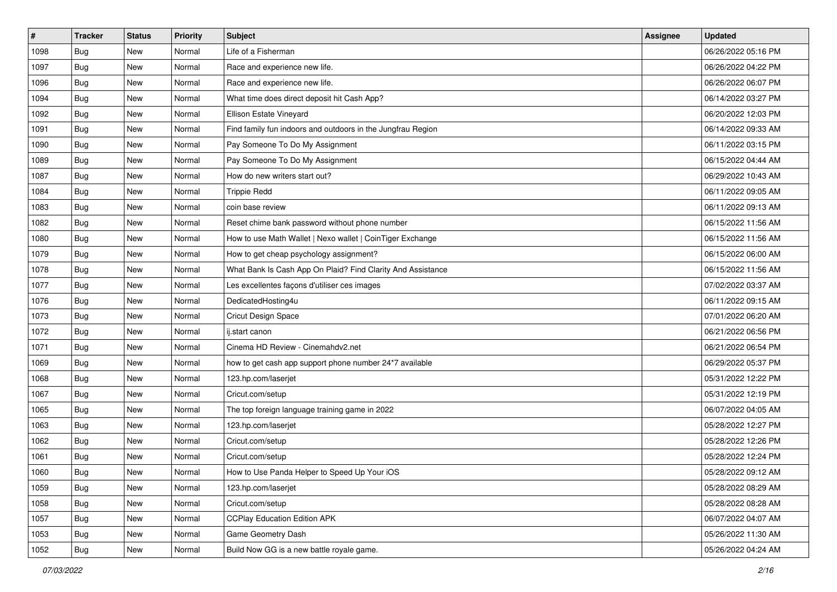| $\vert$ # | <b>Tracker</b> | <b>Status</b> | Priority | Subject                                                     | <b>Assignee</b> | <b>Updated</b>      |
|-----------|----------------|---------------|----------|-------------------------------------------------------------|-----------------|---------------------|
| 1098      | <b>Bug</b>     | New           | Normal   | Life of a Fisherman                                         |                 | 06/26/2022 05:16 PM |
| 1097      | <b>Bug</b>     | New           | Normal   | Race and experience new life.                               |                 | 06/26/2022 04:22 PM |
| 1096      | <b>Bug</b>     | New           | Normal   | Race and experience new life.                               |                 | 06/26/2022 06:07 PM |
| 1094      | <b>Bug</b>     | New           | Normal   | What time does direct deposit hit Cash App?                 |                 | 06/14/2022 03:27 PM |
| 1092      | <b>Bug</b>     | <b>New</b>    | Normal   | Ellison Estate Vineyard                                     |                 | 06/20/2022 12:03 PM |
| 1091      | <b>Bug</b>     | New           | Normal   | Find family fun indoors and outdoors in the Jungfrau Region |                 | 06/14/2022 09:33 AM |
| 1090      | Bug            | New           | Normal   | Pay Someone To Do My Assignment                             |                 | 06/11/2022 03:15 PM |
| 1089      | <b>Bug</b>     | New           | Normal   | Pay Someone To Do My Assignment                             |                 | 06/15/2022 04:44 AM |
| 1087      | <b>Bug</b>     | New           | Normal   | How do new writers start out?                               |                 | 06/29/2022 10:43 AM |
| 1084      | Bug            | New           | Normal   | <b>Trippie Redd</b>                                         |                 | 06/11/2022 09:05 AM |
| 1083      | <b>Bug</b>     | New           | Normal   | coin base review                                            |                 | 06/11/2022 09:13 AM |
| 1082      | <b>Bug</b>     | New           | Normal   | Reset chime bank password without phone number              |                 | 06/15/2022 11:56 AM |
| 1080      | Bug            | New           | Normal   | How to use Math Wallet   Nexo wallet   CoinTiger Exchange   |                 | 06/15/2022 11:56 AM |
| 1079      | <b>Bug</b>     | New           | Normal   | How to get cheap psychology assignment?                     |                 | 06/15/2022 06:00 AM |
| 1078      | <b>Bug</b>     | New           | Normal   | What Bank Is Cash App On Plaid? Find Clarity And Assistance |                 | 06/15/2022 11:56 AM |
| 1077      | <b>Bug</b>     | New           | Normal   | Les excellentes façons d'utiliser ces images                |                 | 07/02/2022 03:37 AM |
| 1076      | <b>Bug</b>     | New           | Normal   | DedicatedHosting4u                                          |                 | 06/11/2022 09:15 AM |
| 1073      | <b>Bug</b>     | New           | Normal   | Cricut Design Space                                         |                 | 07/01/2022 06:20 AM |
| 1072      | <b>Bug</b>     | New           | Normal   | ij.start canon                                              |                 | 06/21/2022 06:56 PM |
| 1071      | <b>Bug</b>     | New           | Normal   | Cinema HD Review - Cinemahdv2.net                           |                 | 06/21/2022 06:54 PM |
| 1069      | <b>Bug</b>     | New           | Normal   | how to get cash app support phone number 24*7 available     |                 | 06/29/2022 05:37 PM |
| 1068      | <b>Bug</b>     | New           | Normal   | 123.hp.com/laserjet                                         |                 | 05/31/2022 12:22 PM |
| 1067      | Bug            | <b>New</b>    | Normal   | Cricut.com/setup                                            |                 | 05/31/2022 12:19 PM |
| 1065      | Bug            | New           | Normal   | The top foreign language training game in 2022              |                 | 06/07/2022 04:05 AM |
| 1063      | <b>Bug</b>     | New           | Normal   | 123.hp.com/laserjet                                         |                 | 05/28/2022 12:27 PM |
| 1062      | <b>Bug</b>     | New           | Normal   | Cricut.com/setup                                            |                 | 05/28/2022 12:26 PM |
| 1061      | <b>Bug</b>     | New           | Normal   | Cricut.com/setup                                            |                 | 05/28/2022 12:24 PM |
| 1060      | <b>Bug</b>     | New           | Normal   | How to Use Panda Helper to Speed Up Your iOS                |                 | 05/28/2022 09:12 AM |
| 1059      | <b>Bug</b>     | New           | Normal   | 123.hp.com/laserjet                                         |                 | 05/28/2022 08:29 AM |
| 1058      | <b>Bug</b>     | New           | Normal   | Cricut.com/setup                                            |                 | 05/28/2022 08:28 AM |
| 1057      | Bug            | New           | Normal   | <b>CCPlay Education Edition APK</b>                         |                 | 06/07/2022 04:07 AM |
| 1053      | <b>Bug</b>     | New           | Normal   | Game Geometry Dash                                          |                 | 05/26/2022 11:30 AM |
| 1052      | <b>Bug</b>     | New           | Normal   | Build Now GG is a new battle royale game.                   |                 | 05/26/2022 04:24 AM |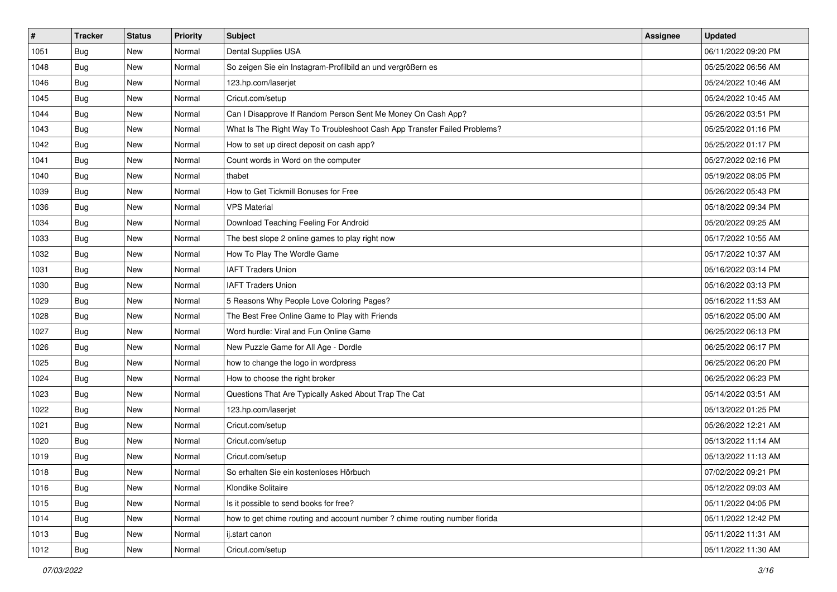| $\sharp$ | <b>Tracker</b> | <b>Status</b> | <b>Priority</b> | <b>Subject</b>                                                             | <b>Assignee</b> | <b>Updated</b>      |
|----------|----------------|---------------|-----------------|----------------------------------------------------------------------------|-----------------|---------------------|
| 1051     | <b>Bug</b>     | New           | Normal          | Dental Supplies USA                                                        |                 | 06/11/2022 09:20 PM |
| 1048     | Bug            | New           | Normal          | So zeigen Sie ein Instagram-Profilbild an und vergrößern es                |                 | 05/25/2022 06:56 AM |
| 1046     | Bug            | New           | Normal          | 123.hp.com/laserjet                                                        |                 | 05/24/2022 10:46 AM |
| 1045     | <b>Bug</b>     | New           | Normal          | Cricut.com/setup                                                           |                 | 05/24/2022 10:45 AM |
| 1044     | Bug            | New           | Normal          | Can I Disapprove If Random Person Sent Me Money On Cash App?               |                 | 05/26/2022 03:51 PM |
| 1043     | <b>Bug</b>     | New           | Normal          | What Is The Right Way To Troubleshoot Cash App Transfer Failed Problems?   |                 | 05/25/2022 01:16 PM |
| 1042     | <b>Bug</b>     | New           | Normal          | How to set up direct deposit on cash app?                                  |                 | 05/25/2022 01:17 PM |
| 1041     | <b>Bug</b>     | <b>New</b>    | Normal          | Count words in Word on the computer                                        |                 | 05/27/2022 02:16 PM |
| 1040     | Bug            | New           | Normal          | thabet                                                                     |                 | 05/19/2022 08:05 PM |
| 1039     | Bug            | New           | Normal          | How to Get Tickmill Bonuses for Free                                       |                 | 05/26/2022 05:43 PM |
| 1036     | <b>Bug</b>     | New           | Normal          | <b>VPS Material</b>                                                        |                 | 05/18/2022 09:34 PM |
| 1034     | <b>Bug</b>     | New           | Normal          | Download Teaching Feeling For Android                                      |                 | 05/20/2022 09:25 AM |
| 1033     | Bug            | <b>New</b>    | Normal          | The best slope 2 online games to play right now                            |                 | 05/17/2022 10:55 AM |
| 1032     | <b>Bug</b>     | New           | Normal          | How To Play The Wordle Game                                                |                 | 05/17/2022 10:37 AM |
| 1031     | <b>Bug</b>     | New           | Normal          | <b>IAFT Traders Union</b>                                                  |                 | 05/16/2022 03:14 PM |
| 1030     | <b>Bug</b>     | New           | Normal          | <b>IAFT Traders Union</b>                                                  |                 | 05/16/2022 03:13 PM |
| 1029     | <b>Bug</b>     | New           | Normal          | 5 Reasons Why People Love Coloring Pages?                                  |                 | 05/16/2022 11:53 AM |
| 1028     | Bug            | New           | Normal          | The Best Free Online Game to Play with Friends                             |                 | 05/16/2022 05:00 AM |
| 1027     | <b>Bug</b>     | New           | Normal          | Word hurdle: Viral and Fun Online Game                                     |                 | 06/25/2022 06:13 PM |
| 1026     | Bug            | New           | Normal          | New Puzzle Game for All Age - Dordle                                       |                 | 06/25/2022 06:17 PM |
| 1025     | <b>Bug</b>     | New           | Normal          | how to change the logo in wordpress                                        |                 | 06/25/2022 06:20 PM |
| 1024     | Bug            | New           | Normal          | How to choose the right broker                                             |                 | 06/25/2022 06:23 PM |
| 1023     | Bug            | New           | Normal          | Questions That Are Typically Asked About Trap The Cat                      |                 | 05/14/2022 03:51 AM |
| 1022     | <b>Bug</b>     | New           | Normal          | 123.hp.com/laserjet                                                        |                 | 05/13/2022 01:25 PM |
| 1021     | <b>Bug</b>     | New           | Normal          | Cricut.com/setup                                                           |                 | 05/26/2022 12:21 AM |
| 1020     | Bug            | New           | Normal          | Cricut.com/setup                                                           |                 | 05/13/2022 11:14 AM |
| 1019     | <b>Bug</b>     | New           | Normal          | Cricut.com/setup                                                           |                 | 05/13/2022 11:13 AM |
| 1018     | <b>Bug</b>     | New           | Normal          | So erhalten Sie ein kostenloses Hörbuch                                    |                 | 07/02/2022 09:21 PM |
| 1016     | Bug            | New           | Normal          | Klondike Solitaire                                                         |                 | 05/12/2022 09:03 AM |
| 1015     | <b>Bug</b>     | New           | Normal          | Is it possible to send books for free?                                     |                 | 05/11/2022 04:05 PM |
| 1014     | Bug            | New           | Normal          | how to get chime routing and account number ? chime routing number florida |                 | 05/11/2022 12:42 PM |
| 1013     | <b>Bug</b>     | New           | Normal          | ij.start canon                                                             |                 | 05/11/2022 11:31 AM |
| 1012     | <b>Bug</b>     | New           | Normal          | Cricut.com/setup                                                           |                 | 05/11/2022 11:30 AM |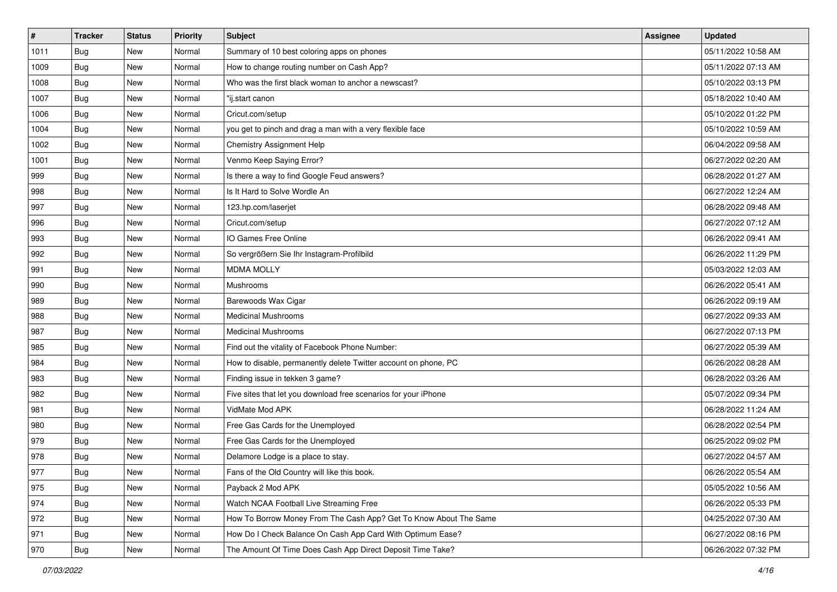| $\sharp$ | <b>Tracker</b> | <b>Status</b> | Priority | <b>Subject</b>                                                    | <b>Assignee</b> | <b>Updated</b>      |
|----------|----------------|---------------|----------|-------------------------------------------------------------------|-----------------|---------------------|
| 1011     | <b>Bug</b>     | New           | Normal   | Summary of 10 best coloring apps on phones                        |                 | 05/11/2022 10:58 AM |
| 1009     | Bug            | New           | Normal   | How to change routing number on Cash App?                         |                 | 05/11/2022 07:13 AM |
| 1008     | Bug            | New           | Normal   | Who was the first black woman to anchor a newscast?               |                 | 05/10/2022 03:13 PM |
| 1007     | <b>Bug</b>     | <b>New</b>    | Normal   | "ij.start canon                                                   |                 | 05/18/2022 10:40 AM |
| 1006     | Bug            | New           | Normal   | Cricut.com/setup                                                  |                 | 05/10/2022 01:22 PM |
| 1004     | <b>Bug</b>     | <b>New</b>    | Normal   | you get to pinch and drag a man with a very flexible face         |                 | 05/10/2022 10:59 AM |
| 1002     | <b>Bug</b>     | New           | Normal   | <b>Chemistry Assignment Help</b>                                  |                 | 06/04/2022 09:58 AM |
| 1001     | <b>Bug</b>     | New           | Normal   | Venmo Keep Saying Error?                                          |                 | 06/27/2022 02:20 AM |
| 999      | Bug            | New           | Normal   | Is there a way to find Google Feud answers?                       |                 | 06/28/2022 01:27 AM |
| 998      | Bug            | New           | Normal   | Is It Hard to Solve Wordle An                                     |                 | 06/27/2022 12:24 AM |
| 997      | <b>Bug</b>     | New           | Normal   | 123.hp.com/laserjet                                               |                 | 06/28/2022 09:48 AM |
| 996      | <b>Bug</b>     | New           | Normal   | Cricut.com/setup                                                  |                 | 06/27/2022 07:12 AM |
| 993      | Bug            | New           | Normal   | IO Games Free Online                                              |                 | 06/26/2022 09:41 AM |
| 992      | <b>Bug</b>     | New           | Normal   | So vergrößern Sie Ihr Instagram-Profilbild                        |                 | 06/26/2022 11:29 PM |
| 991      | <b>Bug</b>     | <b>New</b>    | Normal   | <b>MDMA MOLLY</b>                                                 |                 | 05/03/2022 12:03 AM |
| 990      | Bug            | New           | Normal   | Mushrooms                                                         |                 | 06/26/2022 05:41 AM |
| 989      | <b>Bug</b>     | <b>New</b>    | Normal   | Barewoods Wax Cigar                                               |                 | 06/26/2022 09:19 AM |
| 988      | Bug            | New           | Normal   | <b>Medicinal Mushrooms</b>                                        |                 | 06/27/2022 09:33 AM |
| 987      | <b>Bug</b>     | New           | Normal   | <b>Medicinal Mushrooms</b>                                        |                 | 06/27/2022 07:13 PM |
| 985      | Bug            | New           | Normal   | Find out the vitality of Facebook Phone Number:                   |                 | 06/27/2022 05:39 AM |
| 984      | <b>Bug</b>     | New           | Normal   | How to disable, permanently delete Twitter account on phone, PC   |                 | 06/26/2022 08:28 AM |
| 983      | Bug            | New           | Normal   | Finding issue in tekken 3 game?                                   |                 | 06/28/2022 03:26 AM |
| 982      | Bug            | New           | Normal   | Five sites that let you download free scenarios for your iPhone   |                 | 05/07/2022 09:34 PM |
| 981      | <b>Bug</b>     | New           | Normal   | VidMate Mod APK                                                   |                 | 06/28/2022 11:24 AM |
| 980      | Bug            | New           | Normal   | Free Gas Cards for the Unemployed                                 |                 | 06/28/2022 02:54 PM |
| 979      | Bug            | New           | Normal   | Free Gas Cards for the Unemployed                                 |                 | 06/25/2022 09:02 PM |
| 978      | <b>Bug</b>     | New           | Normal   | Delamore Lodge is a place to stay.                                |                 | 06/27/2022 04:57 AM |
| 977      | <b>Bug</b>     | New           | Normal   | Fans of the Old Country will like this book.                      |                 | 06/26/2022 05:54 AM |
| 975      | <b>Bug</b>     | New           | Normal   | Payback 2 Mod APK                                                 |                 | 05/05/2022 10:56 AM |
| 974      | <b>Bug</b>     | New           | Normal   | Watch NCAA Football Live Streaming Free                           |                 | 06/26/2022 05:33 PM |
| 972      | <b>Bug</b>     | New           | Normal   | How To Borrow Money From The Cash App? Get To Know About The Same |                 | 04/25/2022 07:30 AM |
| 971      | <b>Bug</b>     | New           | Normal   | How Do I Check Balance On Cash App Card With Optimum Ease?        |                 | 06/27/2022 08:16 PM |
| 970      | <b>Bug</b>     | New           | Normal   | The Amount Of Time Does Cash App Direct Deposit Time Take?        |                 | 06/26/2022 07:32 PM |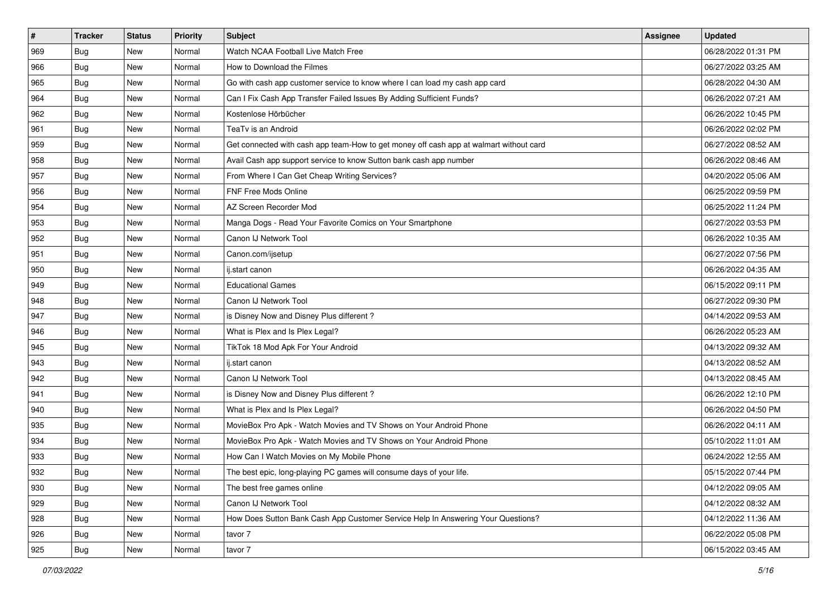| $\sharp$ | <b>Tracker</b> | <b>Status</b> | <b>Priority</b> | Subject                                                                                | Assignee | <b>Updated</b>      |
|----------|----------------|---------------|-----------------|----------------------------------------------------------------------------------------|----------|---------------------|
| 969      | <b>Bug</b>     | New           | Normal          | Watch NCAA Football Live Match Free                                                    |          | 06/28/2022 01:31 PM |
| 966      | Bug            | New           | Normal          | How to Download the Filmes                                                             |          | 06/27/2022 03:25 AM |
| 965      | Bug            | New           | Normal          | Go with cash app customer service to know where I can load my cash app card            |          | 06/28/2022 04:30 AM |
| 964      | <b>Bug</b>     | <b>New</b>    | Normal          | Can I Fix Cash App Transfer Failed Issues By Adding Sufficient Funds?                  |          | 06/26/2022 07:21 AM |
| 962      | Bug            | New           | Normal          | Kostenlose Hörbücher                                                                   |          | 06/26/2022 10:45 PM |
| 961      | <b>Bug</b>     | New           | Normal          | TeaTv is an Android                                                                    |          | 06/26/2022 02:02 PM |
| 959      | Bug            | New           | Normal          | Get connected with cash app team-How to get money off cash app at walmart without card |          | 06/27/2022 08:52 AM |
| 958      | <b>Bug</b>     | New           | Normal          | Avail Cash app support service to know Sutton bank cash app number                     |          | 06/26/2022 08:46 AM |
| 957      | Bug            | New           | Normal          | From Where I Can Get Cheap Writing Services?                                           |          | 04/20/2022 05:06 AM |
| 956      | Bug            | New           | Normal          | FNF Free Mods Online                                                                   |          | 06/25/2022 09:59 PM |
| 954      | Bug            | New           | Normal          | AZ Screen Recorder Mod                                                                 |          | 06/25/2022 11:24 PM |
| 953      | Bug            | New           | Normal          | Manga Dogs - Read Your Favorite Comics on Your Smartphone                              |          | 06/27/2022 03:53 PM |
| 952      | Bug            | New           | Normal          | Canon IJ Network Tool                                                                  |          | 06/26/2022 10:35 AM |
| 951      | <b>Bug</b>     | New           | Normal          | Canon.com/ijsetup                                                                      |          | 06/27/2022 07:56 PM |
| 950      | <b>Bug</b>     | <b>New</b>    | Normal          | ij.start canon                                                                         |          | 06/26/2022 04:35 AM |
| 949      | Bug            | New           | Normal          | <b>Educational Games</b>                                                               |          | 06/15/2022 09:11 PM |
| 948      | <b>Bug</b>     | New           | Normal          | Canon IJ Network Tool                                                                  |          | 06/27/2022 09:30 PM |
| 947      | Bug            | New           | Normal          | is Disney Now and Disney Plus different?                                               |          | 04/14/2022 09:53 AM |
| 946      | Bug            | New           | Normal          | What is Plex and Is Plex Legal?                                                        |          | 06/26/2022 05:23 AM |
| 945      | Bug            | New           | Normal          | TikTok 18 Mod Apk For Your Android                                                     |          | 04/13/2022 09:32 AM |
| 943      | <b>Bug</b>     | New           | Normal          | ij.start canon                                                                         |          | 04/13/2022 08:52 AM |
| 942      | Bug            | New           | Normal          | Canon IJ Network Tool                                                                  |          | 04/13/2022 08:45 AM |
| 941      | Bug            | New           | Normal          | is Disney Now and Disney Plus different?                                               |          | 06/26/2022 12:10 PM |
| 940      | <b>Bug</b>     | New           | Normal          | What is Plex and Is Plex Legal?                                                        |          | 06/26/2022 04:50 PM |
| 935      | Bug            | New           | Normal          | MovieBox Pro Apk - Watch Movies and TV Shows on Your Android Phone                     |          | 06/26/2022 04:11 AM |
| 934      | <b>Bug</b>     | New           | Normal          | MovieBox Pro Apk - Watch Movies and TV Shows on Your Android Phone                     |          | 05/10/2022 11:01 AM |
| 933      | <b>Bug</b>     | New           | Normal          | How Can I Watch Movies on My Mobile Phone                                              |          | 06/24/2022 12:55 AM |
| 932      | Bug            | New           | Normal          | The best epic, long-playing PC games will consume days of your life.                   |          | 05/15/2022 07:44 PM |
| 930      | Bug            | New           | Normal          | The best free games online                                                             |          | 04/12/2022 09:05 AM |
| 929      | Bug            | New           | Normal          | Canon IJ Network Tool                                                                  |          | 04/12/2022 08:32 AM |
| 928      | <b>Bug</b>     | New           | Normal          | How Does Sutton Bank Cash App Customer Service Help In Answering Your Questions?       |          | 04/12/2022 11:36 AM |
| 926      | Bug            | New           | Normal          | tavor 7                                                                                |          | 06/22/2022 05:08 PM |
| 925      | <b>Bug</b>     | New           | Normal          | tavor 7                                                                                |          | 06/15/2022 03:45 AM |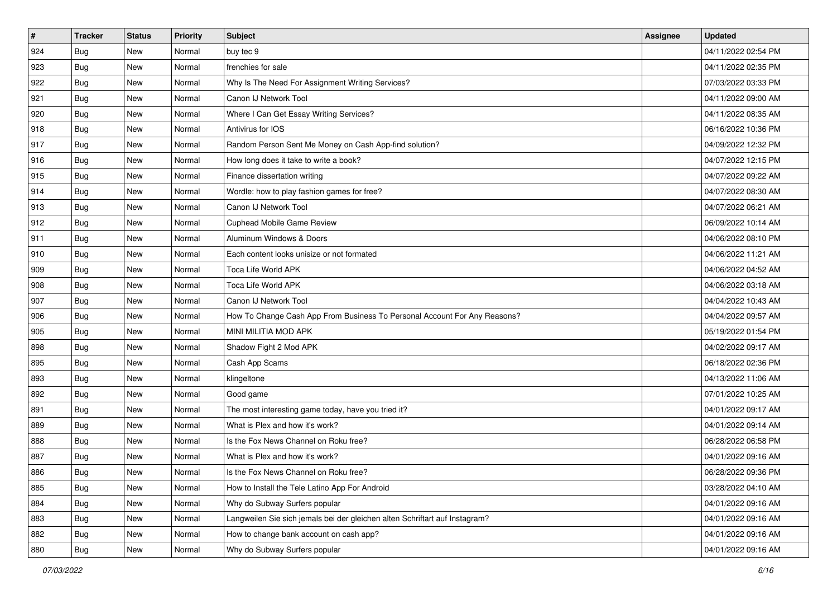| $\sharp$ | <b>Tracker</b> | <b>Status</b> | Priority | <b>Subject</b>                                                              | <b>Assignee</b> | <b>Updated</b>      |
|----------|----------------|---------------|----------|-----------------------------------------------------------------------------|-----------------|---------------------|
| 924      | <b>Bug</b>     | New           | Normal   | buy tec 9                                                                   |                 | 04/11/2022 02:54 PM |
| 923      | <b>Bug</b>     | New           | Normal   | frenchies for sale                                                          |                 | 04/11/2022 02:35 PM |
| 922      | Bug            | New           | Normal   | Why Is The Need For Assignment Writing Services?                            |                 | 07/03/2022 03:33 PM |
| 921      | <b>Bug</b>     | <b>New</b>    | Normal   | Canon IJ Network Tool                                                       |                 | 04/11/2022 09:00 AM |
| 920      | Bug            | New           | Normal   | Where I Can Get Essay Writing Services?                                     |                 | 04/11/2022 08:35 AM |
| 918      | <b>Bug</b>     | New           | Normal   | Antivirus for IOS                                                           |                 | 06/16/2022 10:36 PM |
| 917      | <b>Bug</b>     | New           | Normal   | Random Person Sent Me Money on Cash App-find solution?                      |                 | 04/09/2022 12:32 PM |
| 916      | <b>Bug</b>     | New           | Normal   | How long does it take to write a book?                                      |                 | 04/07/2022 12:15 PM |
| 915      | Bug            | New           | Normal   | Finance dissertation writing                                                |                 | 04/07/2022 09:22 AM |
| 914      | Bug            | New           | Normal   | Wordle: how to play fashion games for free?                                 |                 | 04/07/2022 08:30 AM |
| 913      | <b>Bug</b>     | New           | Normal   | Canon IJ Network Tool                                                       |                 | 04/07/2022 06:21 AM |
| 912      | <b>Bug</b>     | New           | Normal   | <b>Cuphead Mobile Game Review</b>                                           |                 | 06/09/2022 10:14 AM |
| 911      | Bug            | New           | Normal   | Aluminum Windows & Doors                                                    |                 | 04/06/2022 08:10 PM |
| 910      | <b>Bug</b>     | New           | Normal   | Each content looks unisize or not formated                                  |                 | 04/06/2022 11:21 AM |
| 909      | <b>Bug</b>     | <b>New</b>    | Normal   | Toca Life World APK                                                         |                 | 04/06/2022 04:52 AM |
| 908      | Bug            | New           | Normal   | Toca Life World APK                                                         |                 | 04/06/2022 03:18 AM |
| 907      | <b>Bug</b>     | New           | Normal   | Canon IJ Network Tool                                                       |                 | 04/04/2022 10:43 AM |
| 906      | Bug            | New           | Normal   | How To Change Cash App From Business To Personal Account For Any Reasons?   |                 | 04/04/2022 09:57 AM |
| 905      | <b>Bug</b>     | New           | Normal   | MINI MILITIA MOD APK                                                        |                 | 05/19/2022 01:54 PM |
| 898      | Bug            | New           | Normal   | Shadow Fight 2 Mod APK                                                      |                 | 04/02/2022 09:17 AM |
| 895      | <b>Bug</b>     | New           | Normal   | Cash App Scams                                                              |                 | 06/18/2022 02:36 PM |
| 893      | Bug            | New           | Normal   | klingeltone                                                                 |                 | 04/13/2022 11:06 AM |
| 892      | Bug            | New           | Normal   | Good game                                                                   |                 | 07/01/2022 10:25 AM |
| 891      | <b>Bug</b>     | New           | Normal   | The most interesting game today, have you tried it?                         |                 | 04/01/2022 09:17 AM |
| 889      | Bug            | New           | Normal   | What is Plex and how it's work?                                             |                 | 04/01/2022 09:14 AM |
| 888      | <b>Bug</b>     | New           | Normal   | Is the Fox News Channel on Roku free?                                       |                 | 06/28/2022 06:58 PM |
| 887      | <b>Bug</b>     | New           | Normal   | What is Plex and how it's work?                                             |                 | 04/01/2022 09:16 AM |
| 886      | <b>Bug</b>     | New           | Normal   | Is the Fox News Channel on Roku free?                                       |                 | 06/28/2022 09:36 PM |
| 885      | <b>Bug</b>     | New           | Normal   | How to Install the Tele Latino App For Android                              |                 | 03/28/2022 04:10 AM |
| 884      | <b>Bug</b>     | New           | Normal   | Why do Subway Surfers popular                                               |                 | 04/01/2022 09:16 AM |
| 883      | <b>Bug</b>     | New           | Normal   | Langweilen Sie sich jemals bei der gleichen alten Schriftart auf Instagram? |                 | 04/01/2022 09:16 AM |
| 882      | <b>Bug</b>     | New           | Normal   | How to change bank account on cash app?                                     |                 | 04/01/2022 09:16 AM |
| 880      | <b>Bug</b>     | New           | Normal   | Why do Subway Surfers popular                                               |                 | 04/01/2022 09:16 AM |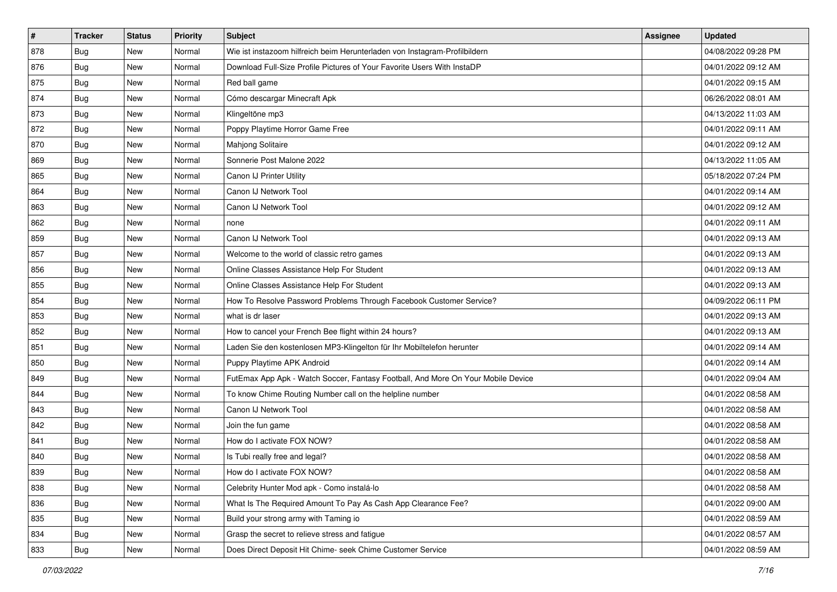| $\vert$ # | <b>Tracker</b> | <b>Status</b> | <b>Priority</b> | <b>Subject</b>                                                                   | <b>Assignee</b> | <b>Updated</b>      |
|-----------|----------------|---------------|-----------------|----------------------------------------------------------------------------------|-----------------|---------------------|
| 878       | <b>Bug</b>     | New           | Normal          | Wie ist instazoom hilfreich beim Herunterladen von Instagram-Profilbildern       |                 | 04/08/2022 09:28 PM |
| 876       | Bug            | New           | Normal          | Download Full-Size Profile Pictures of Your Favorite Users With InstaDP          |                 | 04/01/2022 09:12 AM |
| 875       | Bug            | New           | Normal          | Red ball game                                                                    |                 | 04/01/2022 09:15 AM |
| 874       | <b>Bug</b>     | New           | Normal          | Cómo descargar Minecraft Apk                                                     |                 | 06/26/2022 08:01 AM |
| 873       | <b>Bug</b>     | New           | Normal          | Klingeltöne mp3                                                                  |                 | 04/13/2022 11:03 AM |
| 872       | <b>Bug</b>     | New           | Normal          | Poppy Playtime Horror Game Free                                                  |                 | 04/01/2022 09:11 AM |
| 870       | Bug            | New           | Normal          | Mahjong Solitaire                                                                |                 | 04/01/2022 09:12 AM |
| 869       | <b>Bug</b>     | New           | Normal          | Sonnerie Post Malone 2022                                                        |                 | 04/13/2022 11:05 AM |
| 865       | <b>Bug</b>     | New           | Normal          | Canon IJ Printer Utility                                                         |                 | 05/18/2022 07:24 PM |
| 864       | <b>Bug</b>     | <b>New</b>    | Normal          | Canon IJ Network Tool                                                            |                 | 04/01/2022 09:14 AM |
| 863       | <b>Bug</b>     | New           | Normal          | Canon IJ Network Tool                                                            |                 | 04/01/2022 09:12 AM |
| 862       | <b>Bug</b>     | New           | Normal          | none                                                                             |                 | 04/01/2022 09:11 AM |
| 859       | Bug            | New           | Normal          | Canon IJ Network Tool                                                            |                 | 04/01/2022 09:13 AM |
| 857       | <b>Bug</b>     | New           | Normal          | Welcome to the world of classic retro games                                      |                 | 04/01/2022 09:13 AM |
| 856       | <b>Bug</b>     | New           | Normal          | Online Classes Assistance Help For Student                                       |                 | 04/01/2022 09:13 AM |
| 855       | Bug            | New           | Normal          | Online Classes Assistance Help For Student                                       |                 | 04/01/2022 09:13 AM |
| 854       | <b>Bug</b>     | New           | Normal          | How To Resolve Password Problems Through Facebook Customer Service?              |                 | 04/09/2022 06:11 PM |
| 853       | Bug            | New           | Normal          | what is dr laser                                                                 |                 | 04/01/2022 09:13 AM |
| 852       | <b>Bug</b>     | New           | Normal          | How to cancel your French Bee flight within 24 hours?                            |                 | 04/01/2022 09:13 AM |
| 851       | <b>Bug</b>     | New           | Normal          | Laden Sie den kostenlosen MP3-Klingelton für Ihr Mobiltelefon herunter           |                 | 04/01/2022 09:14 AM |
| 850       | <b>Bug</b>     | New           | Normal          | Puppy Playtime APK Android                                                       |                 | 04/01/2022 09:14 AM |
| 849       | Bug            | New           | Normal          | FutEmax App Apk - Watch Soccer, Fantasy Football, And More On Your Mobile Device |                 | 04/01/2022 09:04 AM |
| 844       | Bug            | New           | Normal          | To know Chime Routing Number call on the helpline number                         |                 | 04/01/2022 08:58 AM |
| 843       | <b>Bug</b>     | New           | Normal          | Canon IJ Network Tool                                                            |                 | 04/01/2022 08:58 AM |
| 842       | Bug            | New           | Normal          | Join the fun game                                                                |                 | 04/01/2022 08:58 AM |
| 841       | Bug            | New           | Normal          | How do I activate FOX NOW?                                                       |                 | 04/01/2022 08:58 AM |
| 840       | <b>Bug</b>     | New           | Normal          | Is Tubi really free and legal?                                                   |                 | 04/01/2022 08:58 AM |
| 839       | <b>Bug</b>     | New           | Normal          | How do I activate FOX NOW?                                                       |                 | 04/01/2022 08:58 AM |
| 838       | <b>Bug</b>     | New           | Normal          | Celebrity Hunter Mod apk - Como instalá-lo                                       |                 | 04/01/2022 08:58 AM |
| 836       | <b>Bug</b>     | New           | Normal          | What Is The Required Amount To Pay As Cash App Clearance Fee?                    |                 | 04/01/2022 09:00 AM |
| 835       | Bug            | New           | Normal          | Build your strong army with Taming io                                            |                 | 04/01/2022 08:59 AM |
| 834       | Bug            | New           | Normal          | Grasp the secret to relieve stress and fatigue                                   |                 | 04/01/2022 08:57 AM |
| 833       | <b>Bug</b>     | New           | Normal          | Does Direct Deposit Hit Chime- seek Chime Customer Service                       |                 | 04/01/2022 08:59 AM |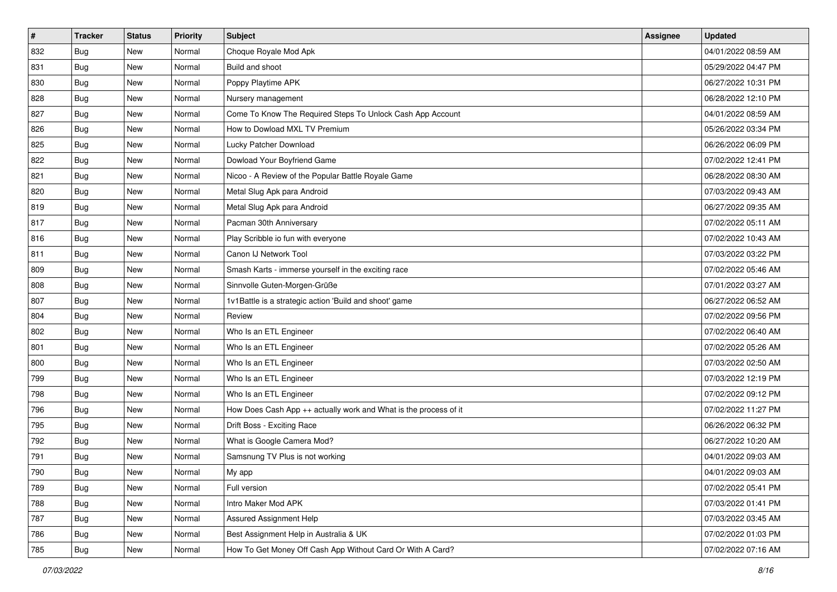| $\sharp$ | <b>Tracker</b> | <b>Status</b> | <b>Priority</b> | <b>Subject</b>                                                   | <b>Assignee</b> | <b>Updated</b>      |
|----------|----------------|---------------|-----------------|------------------------------------------------------------------|-----------------|---------------------|
| 832      | <b>Bug</b>     | New           | Normal          | Choque Royale Mod Apk                                            |                 | 04/01/2022 08:59 AM |
| 831      | <b>Bug</b>     | New           | Normal          | Build and shoot                                                  |                 | 05/29/2022 04:47 PM |
| 830      | Bug            | New           | Normal          | Poppy Playtime APK                                               |                 | 06/27/2022 10:31 PM |
| 828      | <b>Bug</b>     | <b>New</b>    | Normal          | Nursery management                                               |                 | 06/28/2022 12:10 PM |
| 827      | Bug            | New           | Normal          | Come To Know The Required Steps To Unlock Cash App Account       |                 | 04/01/2022 08:59 AM |
| 826      | <b>Bug</b>     | New           | Normal          | How to Dowload MXL TV Premium                                    |                 | 05/26/2022 03:34 PM |
| 825      | <b>Bug</b>     | New           | Normal          | Lucky Patcher Download                                           |                 | 06/26/2022 06:09 PM |
| 822      | <b>Bug</b>     | New           | Normal          | Dowload Your Boyfriend Game                                      |                 | 07/02/2022 12:41 PM |
| 821      | Bug            | New           | Normal          | Nicoo - A Review of the Popular Battle Royale Game               |                 | 06/28/2022 08:30 AM |
| 820      | Bug            | New           | Normal          | Metal Slug Apk para Android                                      |                 | 07/03/2022 09:43 AM |
| 819      | <b>Bug</b>     | New           | Normal          | Metal Slug Apk para Android                                      |                 | 06/27/2022 09:35 AM |
| 817      | <b>Bug</b>     | New           | Normal          | Pacman 30th Anniversary                                          |                 | 07/02/2022 05:11 AM |
| 816      | Bug            | New           | Normal          | Play Scribble io fun with everyone                               |                 | 07/02/2022 10:43 AM |
| 811      | <b>Bug</b>     | New           | Normal          | Canon IJ Network Tool                                            |                 | 07/03/2022 03:22 PM |
| 809      | Bug            | New           | Normal          | Smash Karts - immerse yourself in the exciting race              |                 | 07/02/2022 05:46 AM |
| 808      | Bug            | New           | Normal          | Sinnvolle Guten-Morgen-Grüße                                     |                 | 07/01/2022 03:27 AM |
| 807      | <b>Bug</b>     | New           | Normal          | 1v1Battle is a strategic action 'Build and shoot' game           |                 | 06/27/2022 06:52 AM |
| 804      | Bug            | New           | Normal          | Review                                                           |                 | 07/02/2022 09:56 PM |
| 802      | <b>Bug</b>     | New           | Normal          | Who Is an ETL Engineer                                           |                 | 07/02/2022 06:40 AM |
| 801      | Bug            | New           | Normal          | Who Is an ETL Engineer                                           |                 | 07/02/2022 05:26 AM |
| 800      | <b>Bug</b>     | New           | Normal          | Who Is an ETL Engineer                                           |                 | 07/03/2022 02:50 AM |
| 799      | <b>Bug</b>     | New           | Normal          | Who Is an ETL Engineer                                           |                 | 07/03/2022 12:19 PM |
| 798      | Bug            | New           | Normal          | Who Is an ETL Engineer                                           |                 | 07/02/2022 09:12 PM |
| 796      | <b>Bug</b>     | New           | Normal          | How Does Cash App ++ actually work and What is the process of it |                 | 07/02/2022 11:27 PM |
| 795      | Bug            | New           | Normal          | Drift Boss - Exciting Race                                       |                 | 06/26/2022 06:32 PM |
| 792      | <b>Bug</b>     | New           | Normal          | What is Google Camera Mod?                                       |                 | 06/27/2022 10:20 AM |
| 791      | <b>Bug</b>     | New           | Normal          | Samsnung TV Plus is not working                                  |                 | 04/01/2022 09:03 AM |
| 790      | <b>Bug</b>     | New           | Normal          | My app                                                           |                 | 04/01/2022 09:03 AM |
| 789      | <b>Bug</b>     | New           | Normal          | Full version                                                     |                 | 07/02/2022 05:41 PM |
| 788      | <b>Bug</b>     | New           | Normal          | Intro Maker Mod APK                                              |                 | 07/03/2022 01:41 PM |
| 787      | Bug            | New           | Normal          | Assured Assignment Help                                          |                 | 07/03/2022 03:45 AM |
| 786      | <b>Bug</b>     | New           | Normal          | Best Assignment Help in Australia & UK                           |                 | 07/02/2022 01:03 PM |
| 785      | <b>Bug</b>     | New           | Normal          | How To Get Money Off Cash App Without Card Or With A Card?       |                 | 07/02/2022 07:16 AM |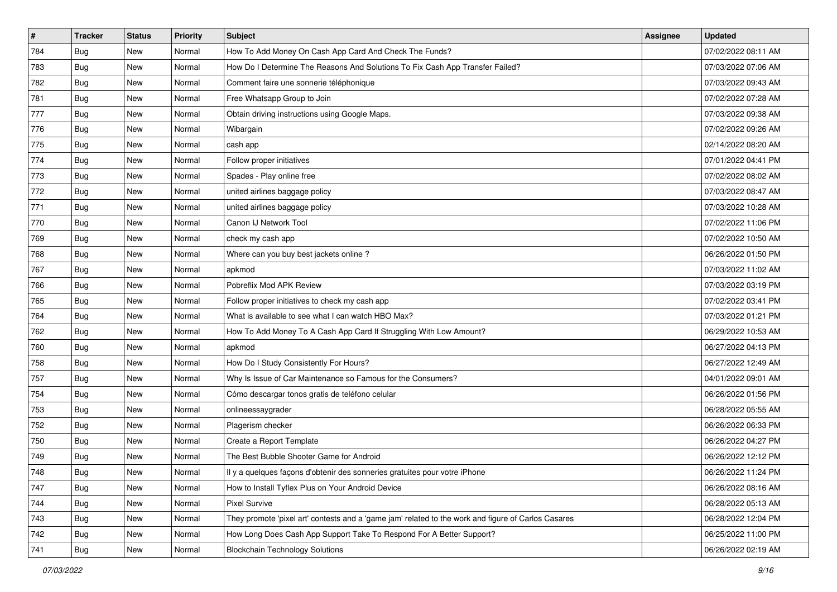| #   | <b>Tracker</b> | <b>Status</b> | Priority | <b>Subject</b>                                                                                      | <b>Assignee</b> | <b>Updated</b>      |
|-----|----------------|---------------|----------|-----------------------------------------------------------------------------------------------------|-----------------|---------------------|
| 784 | <b>Bug</b>     | New           | Normal   | How To Add Money On Cash App Card And Check The Funds?                                              |                 | 07/02/2022 08:11 AM |
| 783 | <b>Bug</b>     | New           | Normal   | How Do I Determine The Reasons And Solutions To Fix Cash App Transfer Failed?                       |                 | 07/03/2022 07:06 AM |
| 782 | <b>Bug</b>     | New           | Normal   | Comment faire une sonnerie téléphonique                                                             |                 | 07/03/2022 09:43 AM |
| 781 | <b>Bug</b>     | New           | Normal   | Free Whatsapp Group to Join                                                                         |                 | 07/02/2022 07:28 AM |
| 777 | <b>Bug</b>     | New           | Normal   | Obtain driving instructions using Google Maps.                                                      |                 | 07/03/2022 09:38 AM |
| 776 | <b>Bug</b>     | New           | Normal   | Wibargain                                                                                           |                 | 07/02/2022 09:26 AM |
| 775 | Bug            | New           | Normal   | cash app                                                                                            |                 | 02/14/2022 08:20 AM |
| 774 | <b>Bug</b>     | New           | Normal   | Follow proper initiatives                                                                           |                 | 07/01/2022 04:41 PM |
| 773 | <b>Bug</b>     | New           | Normal   | Spades - Play online free                                                                           |                 | 07/02/2022 08:02 AM |
| 772 | Bug            | New           | Normal   | united airlines baggage policy                                                                      |                 | 07/03/2022 08:47 AM |
| 771 | Bug            | New           | Normal   | united airlines baggage policy                                                                      |                 | 07/03/2022 10:28 AM |
| 770 | Bug            | New           | Normal   | Canon IJ Network Tool                                                                               |                 | 07/02/2022 11:06 PM |
| 769 | Bug            | New           | Normal   | check my cash app                                                                                   |                 | 07/02/2022 10:50 AM |
| 768 | <b>Bug</b>     | New           | Normal   | Where can you buy best jackets online?                                                              |                 | 06/26/2022 01:50 PM |
| 767 | <b>Bug</b>     | New           | Normal   | apkmod                                                                                              |                 | 07/03/2022 11:02 AM |
| 766 | Bug            | New           | Normal   | Pobreflix Mod APK Review                                                                            |                 | 07/03/2022 03:19 PM |
| 765 | <b>Bug</b>     | New           | Normal   | Follow proper initiatives to check my cash app                                                      |                 | 07/02/2022 03:41 PM |
| 764 | <b>Bug</b>     | New           | Normal   | What is available to see what I can watch HBO Max?                                                  |                 | 07/03/2022 01:21 PM |
| 762 | Bug            | New           | Normal   | How To Add Money To A Cash App Card If Struggling With Low Amount?                                  |                 | 06/29/2022 10:53 AM |
| 760 | <b>Bug</b>     | New           | Normal   | apkmod                                                                                              |                 | 06/27/2022 04:13 PM |
| 758 | <b>Bug</b>     | New           | Normal   | How Do I Study Consistently For Hours?                                                              |                 | 06/27/2022 12:49 AM |
| 757 | <b>Bug</b>     | New           | Normal   | Why Is Issue of Car Maintenance so Famous for the Consumers?                                        |                 | 04/01/2022 09:01 AM |
| 754 | Bug            | New           | Normal   | Cómo descargar tonos gratis de teléfono celular                                                     |                 | 06/26/2022 01:56 PM |
| 753 | <b>Bug</b>     | New           | Normal   | onlineessaygrader                                                                                   |                 | 06/28/2022 05:55 AM |
| 752 | <b>Bug</b>     | New           | Normal   | Plagerism checker                                                                                   |                 | 06/26/2022 06:33 PM |
| 750 | Bug            | New           | Normal   | Create a Report Template                                                                            |                 | 06/26/2022 04:27 PM |
| 749 | <b>Bug</b>     | New           | Normal   | The Best Bubble Shooter Game for Android                                                            |                 | 06/26/2022 12:12 PM |
| 748 | Bug            | New           | Normal   | Il y a quelques façons d'obtenir des sonneries gratuites pour votre iPhone                          |                 | 06/26/2022 11:24 PM |
| 747 | Bug            | New           | Normal   | How to Install Tyflex Plus on Your Android Device                                                   |                 | 06/26/2022 08:16 AM |
| 744 | Bug            | New           | Normal   | <b>Pixel Survive</b>                                                                                |                 | 06/28/2022 05:13 AM |
| 743 | <b>Bug</b>     | New           | Normal   | They promote 'pixel art' contests and a 'game jam' related to the work and figure of Carlos Casares |                 | 06/28/2022 12:04 PM |
| 742 | Bug            | New           | Normal   | How Long Does Cash App Support Take To Respond For A Better Support?                                |                 | 06/25/2022 11:00 PM |
| 741 | <b>Bug</b>     | New           | Normal   | <b>Blockchain Technology Solutions</b>                                                              |                 | 06/26/2022 02:19 AM |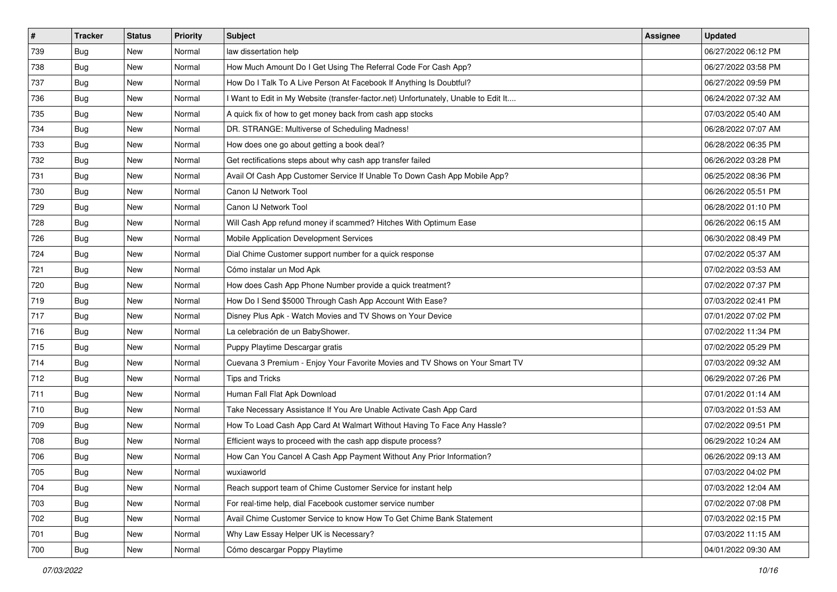| $\vert$ # | <b>Tracker</b> | <b>Status</b> | <b>Priority</b> | <b>Subject</b>                                                                      | Assignee | <b>Updated</b>      |
|-----------|----------------|---------------|-----------------|-------------------------------------------------------------------------------------|----------|---------------------|
| 739       | <b>Bug</b>     | New           | Normal          | law dissertation help                                                               |          | 06/27/2022 06:12 PM |
| 738       | <b>Bug</b>     | New           | Normal          | How Much Amount Do I Get Using The Referral Code For Cash App?                      |          | 06/27/2022 03:58 PM |
| 737       | Bug            | New           | Normal          | How Do I Talk To A Live Person At Facebook If Anything Is Doubtful?                 |          | 06/27/2022 09:59 PM |
| 736       | <b>Bug</b>     | New           | Normal          | I Want to Edit in My Website (transfer-factor.net) Unfortunately, Unable to Edit It |          | 06/24/2022 07:32 AM |
| 735       | Bug            | New           | Normal          | A quick fix of how to get money back from cash app stocks                           |          | 07/03/2022 05:40 AM |
| 734       | <b>Bug</b>     | New           | Normal          | DR. STRANGE: Multiverse of Scheduling Madness!                                      |          | 06/28/2022 07:07 AM |
| 733       | <b>Bug</b>     | New           | Normal          | How does one go about getting a book deal?                                          |          | 06/28/2022 06:35 PM |
| 732       | <b>Bug</b>     | New           | Normal          | Get rectifications steps about why cash app transfer failed                         |          | 06/26/2022 03:28 PM |
| 731       | Bug            | New           | Normal          | Avail Of Cash App Customer Service If Unable To Down Cash App Mobile App?           |          | 06/25/2022 08:36 PM |
| 730       | <b>Bug</b>     | New           | Normal          | Canon IJ Network Tool                                                               |          | 06/26/2022 05:51 PM |
| 729       | <b>Bug</b>     | New           | Normal          | Canon IJ Network Tool                                                               |          | 06/28/2022 01:10 PM |
| 728       | Bug            | New           | Normal          | Will Cash App refund money if scammed? Hitches With Optimum Ease                    |          | 06/26/2022 06:15 AM |
| 726       | Bug            | New           | Normal          | Mobile Application Development Services                                             |          | 06/30/2022 08:49 PM |
| 724       | <b>Bug</b>     | New           | Normal          | Dial Chime Customer support number for a quick response                             |          | 07/02/2022 05:37 AM |
| 721       | <b>Bug</b>     | New           | Normal          | Cómo instalar un Mod Apk                                                            |          | 07/02/2022 03:53 AM |
| 720       | <b>Bug</b>     | New           | Normal          | How does Cash App Phone Number provide a quick treatment?                           |          | 07/02/2022 07:37 PM |
| 719       | <b>Bug</b>     | New           | Normal          | How Do I Send \$5000 Through Cash App Account With Ease?                            |          | 07/03/2022 02:41 PM |
| 717       | Bug            | New           | Normal          | Disney Plus Apk - Watch Movies and TV Shows on Your Device                          |          | 07/01/2022 07:02 PM |
| 716       | <b>Bug</b>     | New           | Normal          | La celebración de un BabyShower.                                                    |          | 07/02/2022 11:34 PM |
| 715       | Bug            | New           | Normal          | Puppy Playtime Descargar gratis                                                     |          | 07/02/2022 05:29 PM |
| 714       | <b>Bug</b>     | New           | Normal          | Cuevana 3 Premium - Enjoy Your Favorite Movies and TV Shows on Your Smart TV        |          | 07/03/2022 09:32 AM |
| 712       | Bug            | New           | Normal          | <b>Tips and Tricks</b>                                                              |          | 06/29/2022 07:26 PM |
| 711       | Bug            | New           | Normal          | Human Fall Flat Apk Download                                                        |          | 07/01/2022 01:14 AM |
| 710       | <b>Bug</b>     | New           | Normal          | Take Necessary Assistance If You Are Unable Activate Cash App Card                  |          | 07/03/2022 01:53 AM |
| 709       | Bug            | New           | Normal          | How To Load Cash App Card At Walmart Without Having To Face Any Hassle?             |          | 07/02/2022 09:51 PM |
| 708       | Bug            | New           | Normal          | Efficient ways to proceed with the cash app dispute process?                        |          | 06/29/2022 10:24 AM |
| 706       | Bug            | New           | Normal          | How Can You Cancel A Cash App Payment Without Any Prior Information?                |          | 06/26/2022 09:13 AM |
| 705       | <b>Bug</b>     | New           | Normal          | wuxiaworld                                                                          |          | 07/03/2022 04:02 PM |
| 704       | Bug            | New           | Normal          | Reach support team of Chime Customer Service for instant help                       |          | 07/03/2022 12:04 AM |
| 703       | <b>Bug</b>     | New           | Normal          | For real-time help, dial Facebook customer service number                           |          | 07/02/2022 07:08 PM |
| 702       | <b>Bug</b>     | New           | Normal          | Avail Chime Customer Service to know How To Get Chime Bank Statement                |          | 07/03/2022 02:15 PM |
| 701       | Bug            | New           | Normal          | Why Law Essay Helper UK is Necessary?                                               |          | 07/03/2022 11:15 AM |
| 700       | <b>Bug</b>     | New           | Normal          | Cómo descargar Poppy Playtime                                                       |          | 04/01/2022 09:30 AM |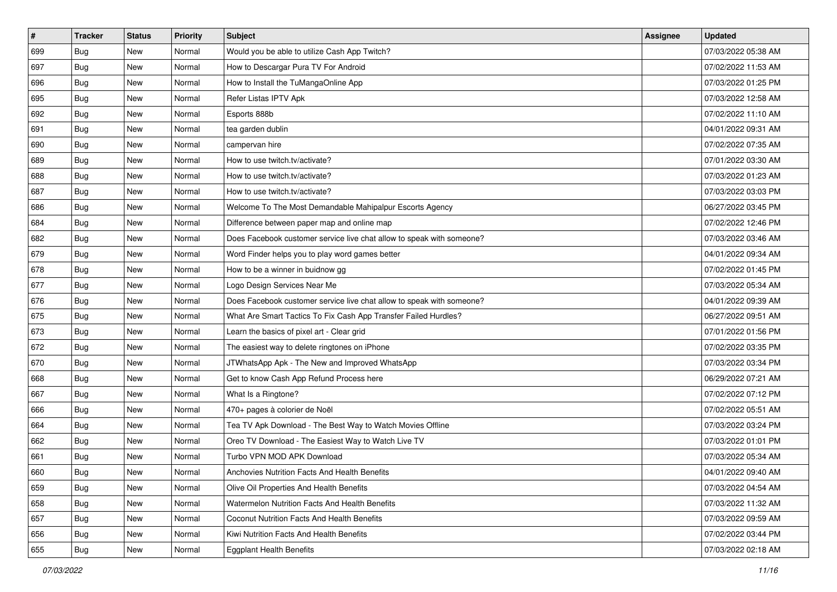| $\sharp$ | <b>Tracker</b> | <b>Status</b> | Priority | <b>Subject</b>                                                        | <b>Assignee</b> | <b>Updated</b>      |
|----------|----------------|---------------|----------|-----------------------------------------------------------------------|-----------------|---------------------|
| 699      | <b>Bug</b>     | New           | Normal   | Would you be able to utilize Cash App Twitch?                         |                 | 07/03/2022 05:38 AM |
| 697      | Bug            | New           | Normal   | How to Descargar Pura TV For Android                                  |                 | 07/02/2022 11:53 AM |
| 696      | Bug            | New           | Normal   | How to Install the TuMangaOnline App                                  |                 | 07/03/2022 01:25 PM |
| 695      | <b>Bug</b>     | <b>New</b>    | Normal   | Refer Listas IPTV Apk                                                 |                 | 07/03/2022 12:58 AM |
| 692      | Bug            | New           | Normal   | Esports 888b                                                          |                 | 07/02/2022 11:10 AM |
| 691      | <b>Bug</b>     | <b>New</b>    | Normal   | tea garden dublin                                                     |                 | 04/01/2022 09:31 AM |
| 690      | Bug            | New           | Normal   | campervan hire                                                        |                 | 07/02/2022 07:35 AM |
| 689      | <b>Bug</b>     | New           | Normal   | How to use twitch.tv/activate?                                        |                 | 07/01/2022 03:30 AM |
| 688      | Bug            | New           | Normal   | How to use twitch.tv/activate?                                        |                 | 07/03/2022 01:23 AM |
| 687      | Bug            | New           | Normal   | How to use twitch.tv/activate?                                        |                 | 07/03/2022 03:03 PM |
| 686      | <b>Bug</b>     | New           | Normal   | Welcome To The Most Demandable Mahipalpur Escorts Agency              |                 | 06/27/2022 03:45 PM |
| 684      | Bug            | New           | Normal   | Difference between paper map and online map                           |                 | 07/02/2022 12:46 PM |
| 682      | Bug            | New           | Normal   | Does Facebook customer service live chat allow to speak with someone? |                 | 07/03/2022 03:46 AM |
| 679      | <b>Bug</b>     | New           | Normal   | Word Finder helps you to play word games better                       |                 | 04/01/2022 09:34 AM |
| 678      | <b>Bug</b>     | <b>New</b>    | Normal   | How to be a winner in buidnow gg                                      |                 | 07/02/2022 01:45 PM |
| 677      | Bug            | New           | Normal   | Logo Design Services Near Me                                          |                 | 07/03/2022 05:34 AM |
| 676      | <b>Bug</b>     | <b>New</b>    | Normal   | Does Facebook customer service live chat allow to speak with someone? |                 | 04/01/2022 09:39 AM |
| 675      | Bug            | New           | Normal   | What Are Smart Tactics To Fix Cash App Transfer Failed Hurdles?       |                 | 06/27/2022 09:51 AM |
| 673      | <b>Bug</b>     | New           | Normal   | Learn the basics of pixel art - Clear grid                            |                 | 07/01/2022 01:56 PM |
| 672      | Bug            | <b>New</b>    | Normal   | The easiest way to delete ringtones on iPhone                         |                 | 07/02/2022 03:35 PM |
| 670      | <b>Bug</b>     | New           | Normal   | JTWhatsApp Apk - The New and Improved WhatsApp                        |                 | 07/03/2022 03:34 PM |
| 668      | Bug            | New           | Normal   | Get to know Cash App Refund Process here                              |                 | 06/29/2022 07:21 AM |
| 667      | Bug            | New           | Normal   | What Is a Ringtone?                                                   |                 | 07/02/2022 07:12 PM |
| 666      | <b>Bug</b>     | New           | Normal   | 470+ pages à colorier de Noël                                         |                 | 07/02/2022 05:51 AM |
| 664      | Bug            | New           | Normal   | Tea TV Apk Download - The Best Way to Watch Movies Offline            |                 | 07/03/2022 03:24 PM |
| 662      | Bug            | New           | Normal   | Oreo TV Download - The Easiest Way to Watch Live TV                   |                 | 07/03/2022 01:01 PM |
| 661      | <b>Bug</b>     | New           | Normal   | Turbo VPN MOD APK Download                                            |                 | 07/03/2022 05:34 AM |
| 660      | <b>Bug</b>     | New           | Normal   | Anchovies Nutrition Facts And Health Benefits                         |                 | 04/01/2022 09:40 AM |
| 659      | <b>Bug</b>     | New           | Normal   | Olive Oil Properties And Health Benefits                              |                 | 07/03/2022 04:54 AM |
| 658      | <b>Bug</b>     | New           | Normal   | Watermelon Nutrition Facts And Health Benefits                        |                 | 07/03/2022 11:32 AM |
| 657      | Bug            | New           | Normal   | Coconut Nutrition Facts And Health Benefits                           |                 | 07/03/2022 09:59 AM |
| 656      | <b>Bug</b>     | New           | Normal   | Kiwi Nutrition Facts And Health Benefits                              |                 | 07/02/2022 03:44 PM |
| 655      | <b>Bug</b>     | New           | Normal   | <b>Eggplant Health Benefits</b>                                       |                 | 07/03/2022 02:18 AM |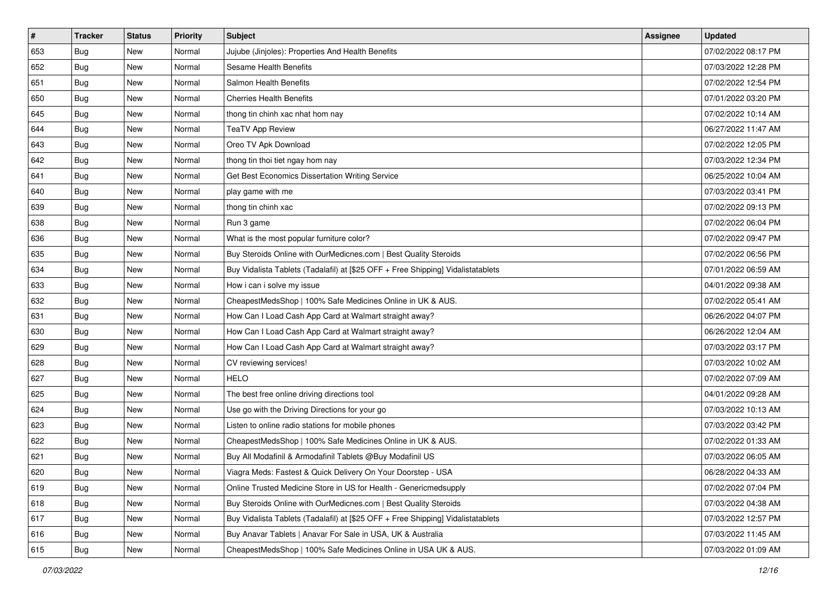| $\sharp$ | <b>Tracker</b> | <b>Status</b> | Priority | <b>Subject</b>                                                                   | <b>Assignee</b> | <b>Updated</b>      |
|----------|----------------|---------------|----------|----------------------------------------------------------------------------------|-----------------|---------------------|
| 653      | <b>Bug</b>     | New           | Normal   | Jujube (Jinjoles): Properties And Health Benefits                                |                 | 07/02/2022 08:17 PM |
| 652      | Bug            | New           | Normal   | Sesame Health Benefits                                                           |                 | 07/03/2022 12:28 PM |
| 651      | Bug            | New           | Normal   | Salmon Health Benefits                                                           |                 | 07/02/2022 12:54 PM |
| 650      | <b>Bug</b>     | <b>New</b>    | Normal   | <b>Cherries Health Benefits</b>                                                  |                 | 07/01/2022 03:20 PM |
| 645      | Bug            | New           | Normal   | thong tin chinh xac nhat hom nay                                                 |                 | 07/02/2022 10:14 AM |
| 644      | <b>Bug</b>     | <b>New</b>    | Normal   | <b>TeaTV App Review</b>                                                          |                 | 06/27/2022 11:47 AM |
| 643      | Bug            | New           | Normal   | Oreo TV Apk Download                                                             |                 | 07/02/2022 12:05 PM |
| 642      | <b>Bug</b>     | New           | Normal   | thong tin thoi tiet ngay hom nay                                                 |                 | 07/03/2022 12:34 PM |
| 641      | Bug            | New           | Normal   | Get Best Economics Dissertation Writing Service                                  |                 | 06/25/2022 10:04 AM |
| 640      | Bug            | New           | Normal   | play game with me                                                                |                 | 07/03/2022 03:41 PM |
| 639      | <b>Bug</b>     | New           | Normal   | thong tin chinh xac                                                              |                 | 07/02/2022 09:13 PM |
| 638      | Bug            | New           | Normal   | Run 3 game                                                                       |                 | 07/02/2022 06:04 PM |
| 636      | Bug            | New           | Normal   | What is the most popular furniture color?                                        |                 | 07/02/2022 09:47 PM |
| 635      | <b>Bug</b>     | New           | Normal   | Buy Steroids Online with OurMedicnes.com   Best Quality Steroids                 |                 | 07/02/2022 06:56 PM |
| 634      | <b>Bug</b>     | <b>New</b>    | Normal   | Buy Vidalista Tablets (Tadalafil) at [\$25 OFF + Free Shipping] Vidalistatablets |                 | 07/01/2022 06:59 AM |
| 633      | Bug            | New           | Normal   | How i can i solve my issue                                                       |                 | 04/01/2022 09:38 AM |
| 632      | <b>Bug</b>     | <b>New</b>    | Normal   | CheapestMedsShop   100% Safe Medicines Online in UK & AUS.                       |                 | 07/02/2022 05:41 AM |
| 631      | Bug            | New           | Normal   | How Can I Load Cash App Card at Walmart straight away?                           |                 | 06/26/2022 04:07 PM |
| 630      | <b>Bug</b>     | New           | Normal   | How Can I Load Cash App Card at Walmart straight away?                           |                 | 06/26/2022 12:04 AM |
| 629      | Bug            | New           | Normal   | How Can I Load Cash App Card at Walmart straight away?                           |                 | 07/03/2022 03:17 PM |
| 628      | <b>Bug</b>     | New           | Normal   | CV reviewing services!                                                           |                 | 07/03/2022 10:02 AM |
| 627      | Bug            | New           | Normal   | <b>HELO</b>                                                                      |                 | 07/02/2022 07:09 AM |
| 625      | Bug            | New           | Normal   | The best free online driving directions tool                                     |                 | 04/01/2022 09:28 AM |
| 624      | <b>Bug</b>     | New           | Normal   | Use go with the Driving Directions for your go                                   |                 | 07/03/2022 10:13 AM |
| 623      | Bug            | New           | Normal   | Listen to online radio stations for mobile phones                                |                 | 07/03/2022 03:42 PM |
| 622      | Bug            | New           | Normal   | CheapestMedsShop   100% Safe Medicines Online in UK & AUS.                       |                 | 07/02/2022 01:33 AM |
| 621      | <b>Bug</b>     | New           | Normal   | Buy All Modafinil & Armodafinil Tablets @Buy Modafinil US                        |                 | 07/03/2022 06:05 AM |
| 620      | I Bug          | New           | Normal   | Viagra Meds: Fastest & Quick Delivery On Your Doorstep - USA                     |                 | 06/28/2022 04:33 AM |
| 619      | <b>Bug</b>     | New           | Normal   | Online Trusted Medicine Store in US for Health - Genericmedsupply                |                 | 07/02/2022 07:04 PM |
| 618      | Bug            | New           | Normal   | Buy Steroids Online with OurMedicnes.com   Best Quality Steroids                 |                 | 07/03/2022 04:38 AM |
| 617      | <b>Bug</b>     | New           | Normal   | Buy Vidalista Tablets (Tadalafil) at [\$25 OFF + Free Shipping] Vidalistatablets |                 | 07/03/2022 12:57 PM |
| 616      | Bug            | New           | Normal   | Buy Anavar Tablets   Anavar For Sale in USA, UK & Australia                      |                 | 07/03/2022 11:45 AM |
| 615      | <b>Bug</b>     | New           | Normal   | CheapestMedsShop   100% Safe Medicines Online in USA UK & AUS.                   |                 | 07/03/2022 01:09 AM |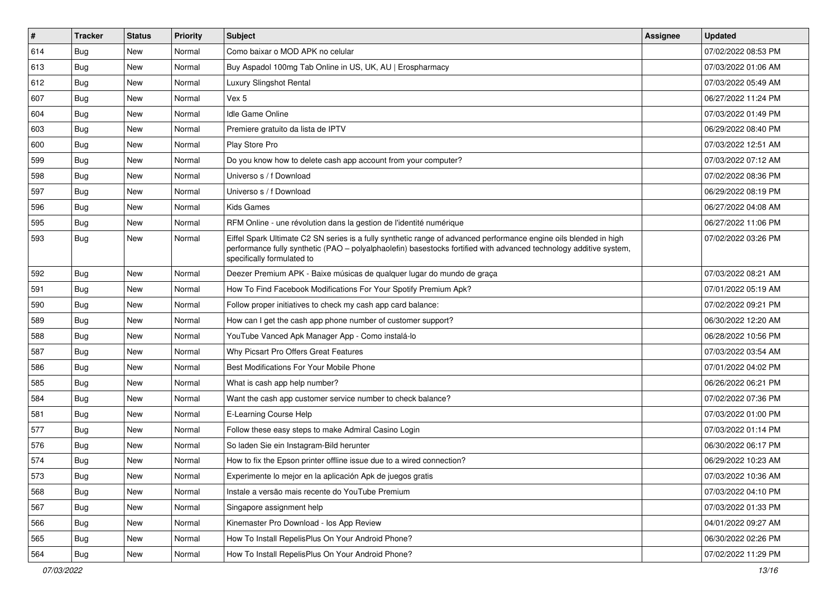| $\vert$ # | <b>Tracker</b> | <b>Status</b> | Priority | Subject                                                                                                                                                                                                                                                               | <b>Assignee</b> | <b>Updated</b>      |
|-----------|----------------|---------------|----------|-----------------------------------------------------------------------------------------------------------------------------------------------------------------------------------------------------------------------------------------------------------------------|-----------------|---------------------|
| 614       | <b>Bug</b>     | New           | Normal   | Como baixar o MOD APK no celular                                                                                                                                                                                                                                      |                 | 07/02/2022 08:53 PM |
| 613       | Bug            | <b>New</b>    | Normal   | Buy Aspadol 100mg Tab Online in US, UK, AU   Erospharmacy                                                                                                                                                                                                             |                 | 07/03/2022 01:06 AM |
| 612       | Bug            | New           | Normal   | Luxury Slingshot Rental                                                                                                                                                                                                                                               |                 | 07/03/2022 05:49 AM |
| 607       | <b>Bug</b>     | <b>New</b>    | Normal   | Vex 5                                                                                                                                                                                                                                                                 |                 | 06/27/2022 11:24 PM |
| 604       | Bug            | <b>New</b>    | Normal   | <b>Idle Game Online</b>                                                                                                                                                                                                                                               |                 | 07/03/2022 01:49 PM |
| 603       | <b>Bug</b>     | <b>New</b>    | Normal   | Premiere gratuito da lista de IPTV                                                                                                                                                                                                                                    |                 | 06/29/2022 08:40 PM |
| 600       | Bug            | New           | Normal   | Play Store Pro                                                                                                                                                                                                                                                        |                 | 07/03/2022 12:51 AM |
| 599       | Bug            | New           | Normal   | Do you know how to delete cash app account from your computer?                                                                                                                                                                                                        |                 | 07/03/2022 07:12 AM |
| 598       | Bug            | New           | Normal   | Universo s / f Download                                                                                                                                                                                                                                               |                 | 07/02/2022 08:36 PM |
| 597       | Bug            | New           | Normal   | Universo s / f Download                                                                                                                                                                                                                                               |                 | 06/29/2022 08:19 PM |
| 596       | <b>Bug</b>     | New           | Normal   | <b>Kids Games</b>                                                                                                                                                                                                                                                     |                 | 06/27/2022 04:08 AM |
| 595       | Bug            | New           | Normal   | RFM Online - une révolution dans la gestion de l'identité numérique                                                                                                                                                                                                   |                 | 06/27/2022 11:06 PM |
| 593       | Bug            | <b>New</b>    | Normal   | Eiffel Spark Ultimate C2 SN series is a fully synthetic range of advanced performance engine oils blended in high<br>performance fully synthetic (PAO - polyalphaolefin) basestocks fortified with advanced technology additive system,<br>specifically formulated to |                 | 07/02/2022 03:26 PM |
| 592       | Bug            | <b>New</b>    | Normal   | Deezer Premium APK - Baixe músicas de qualquer lugar do mundo de graça                                                                                                                                                                                                |                 | 07/03/2022 08:21 AM |
| 591       | Bug            | New           | Normal   | How To Find Facebook Modifications For Your Spotify Premium Apk?                                                                                                                                                                                                      |                 | 07/01/2022 05:19 AM |
| 590       | Bug            | <b>New</b>    | Normal   | Follow proper initiatives to check my cash app card balance:                                                                                                                                                                                                          |                 | 07/02/2022 09:21 PM |
| 589       | Bug            | New           | Normal   | How can I get the cash app phone number of customer support?                                                                                                                                                                                                          |                 | 06/30/2022 12:20 AM |
| 588       | Bug            | New           | Normal   | YouTube Vanced Apk Manager App - Como instalá-lo                                                                                                                                                                                                                      |                 | 06/28/2022 10:56 PM |
| 587       | Bug            | New           | Normal   | Why Picsart Pro Offers Great Features                                                                                                                                                                                                                                 |                 | 07/03/2022 03:54 AM |
| 586       | Bug            | New           | Normal   | Best Modifications For Your Mobile Phone                                                                                                                                                                                                                              |                 | 07/01/2022 04:02 PM |
| 585       | <b>Bug</b>     | <b>New</b>    | Normal   | What is cash app help number?                                                                                                                                                                                                                                         |                 | 06/26/2022 06:21 PM |
| 584       | Bug            | New           | Normal   | Want the cash app customer service number to check balance?                                                                                                                                                                                                           |                 | 07/02/2022 07:36 PM |
| 581       | <b>Bug</b>     | <b>New</b>    | Normal   | E-Learning Course Help                                                                                                                                                                                                                                                |                 | 07/03/2022 01:00 PM |
| 577       | Bug            | New           | Normal   | Follow these easy steps to make Admiral Casino Login                                                                                                                                                                                                                  |                 | 07/03/2022 01:14 PM |
| 576       | <b>Bug</b>     | New           | Normal   | So laden Sie ein Instagram-Bild herunter                                                                                                                                                                                                                              |                 | 06/30/2022 06:17 PM |
| 574       | <b>Bug</b>     | <b>New</b>    | Normal   | How to fix the Epson printer offline issue due to a wired connection?                                                                                                                                                                                                 |                 | 06/29/2022 10:23 AM |
| 573       | Bug            | New           | Normal   | Experimente lo mejor en la aplicación Apk de juegos gratis                                                                                                                                                                                                            |                 | 07/03/2022 10:36 AM |
| 568       | Bug            | New           | Normal   | Instale a versão mais recente do YouTube Premium                                                                                                                                                                                                                      |                 | 07/03/2022 04:10 PM |
| 567       | Bug            | New           | Normal   | Singapore assignment help                                                                                                                                                                                                                                             |                 | 07/03/2022 01:33 PM |
| 566       | <b>Bug</b>     | New           | Normal   | Kinemaster Pro Download - los App Review                                                                                                                                                                                                                              |                 | 04/01/2022 09:27 AM |
| 565       | Bug            | New           | Normal   | How To Install RepelisPlus On Your Android Phone?                                                                                                                                                                                                                     |                 | 06/30/2022 02:26 PM |
| 564       | <b>Bug</b>     | New           | Normal   | How To Install RepelisPlus On Your Android Phone?                                                                                                                                                                                                                     |                 | 07/02/2022 11:29 PM |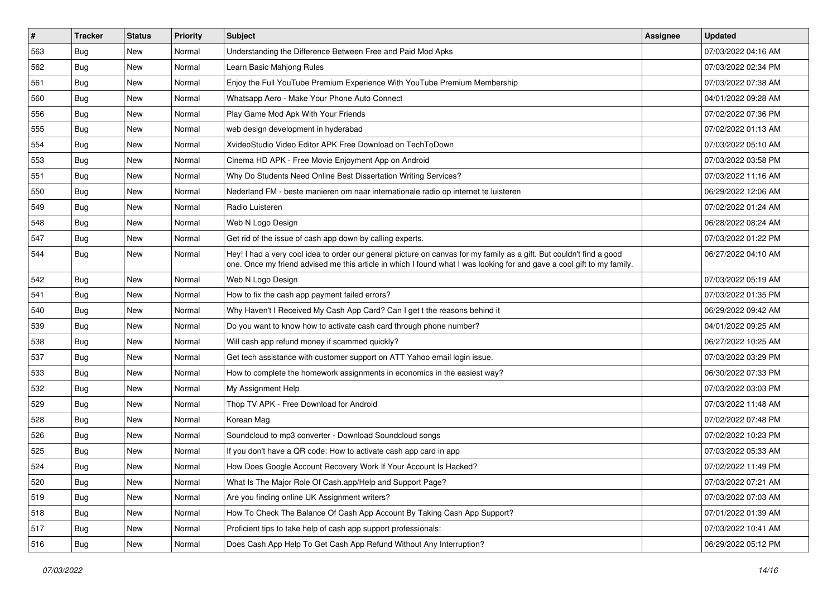| $\vert$ # | <b>Tracker</b> | <b>Status</b> | <b>Priority</b> | Subject                                                                                                                                                                                                                                        | <b>Assignee</b> | <b>Updated</b>      |
|-----------|----------------|---------------|-----------------|------------------------------------------------------------------------------------------------------------------------------------------------------------------------------------------------------------------------------------------------|-----------------|---------------------|
| 563       | <b>Bug</b>     | New           | Normal          | Understanding the Difference Between Free and Paid Mod Apks                                                                                                                                                                                    |                 | 07/03/2022 04:16 AM |
| 562       | Bug            | <b>New</b>    | Normal          | Learn Basic Mahjong Rules                                                                                                                                                                                                                      |                 | 07/03/2022 02:34 PM |
| 561       | Bug            | New           | Normal          | Enjoy the Full YouTube Premium Experience With YouTube Premium Membership                                                                                                                                                                      |                 | 07/03/2022 07:38 AM |
| 560       | <b>Bug</b>     | New           | Normal          | Whatsapp Aero - Make Your Phone Auto Connect                                                                                                                                                                                                   |                 | 04/01/2022 09:28 AM |
| 556       | Bug            | New           | Normal          | Play Game Mod Apk With Your Friends                                                                                                                                                                                                            |                 | 07/02/2022 07:36 PM |
| 555       | Bug            | New           | Normal          | web design development in hyderabad                                                                                                                                                                                                            |                 | 07/02/2022 01:13 AM |
| 554       | Bug            | New           | Normal          | XvideoStudio Video Editor APK Free Download on TechToDown                                                                                                                                                                                      |                 | 07/03/2022 05:10 AM |
| 553       | <b>Bug</b>     | New           | Normal          | Cinema HD APK - Free Movie Enjoyment App on Android                                                                                                                                                                                            |                 | 07/03/2022 03:58 PM |
| 551       | Bug            | New           | Normal          | Why Do Students Need Online Best Dissertation Writing Services?                                                                                                                                                                                |                 | 07/03/2022 11:16 AM |
| 550       | <b>Bug</b>     | New           | Normal          | Nederland FM - beste manieren om naar internationale radio op internet te luisteren                                                                                                                                                            |                 | 06/29/2022 12:06 AM |
| 549       | <b>Bug</b>     | New           | Normal          | Radio Luisteren                                                                                                                                                                                                                                |                 | 07/02/2022 01:24 AM |
| 548       | Bug            | New           | Normal          | Web N Logo Design                                                                                                                                                                                                                              |                 | 06/28/2022 08:24 AM |
| 547       | Bug            | New           | Normal          | Get rid of the issue of cash app down by calling experts.                                                                                                                                                                                      |                 | 07/03/2022 01:22 PM |
| 544       | <b>Bug</b>     | New           | Normal          | Hey! I had a very cool idea to order our general picture on canvas for my family as a gift. But couldn't find a good<br>one. Once my friend advised me this article in which I found what I was looking for and gave a cool gift to my family. |                 | 06/27/2022 04:10 AM |
| 542       | <b>Bug</b>     | New           | Normal          | Web N Logo Design                                                                                                                                                                                                                              |                 | 07/03/2022 05:19 AM |
| 541       | Bug            | New           | Normal          | How to fix the cash app payment failed errors?                                                                                                                                                                                                 |                 | 07/03/2022 01:35 PM |
| 540       | Bug            | New           | Normal          | Why Haven't I Received My Cash App Card? Can I get t the reasons behind it                                                                                                                                                                     |                 | 06/29/2022 09:42 AM |
| 539       | <b>Bug</b>     | New           | Normal          | Do you want to know how to activate cash card through phone number?                                                                                                                                                                            |                 | 04/01/2022 09:25 AM |
| 538       | Bug            | New           | Normal          | Will cash app refund money if scammed quickly?                                                                                                                                                                                                 |                 | 06/27/2022 10:25 AM |
| 537       | Bug            | New           | Normal          | Get tech assistance with customer support on ATT Yahoo email login issue.                                                                                                                                                                      |                 | 07/03/2022 03:29 PM |
| 533       | Bug            | New           | Normal          | How to complete the homework assignments in economics in the easiest way?                                                                                                                                                                      |                 | 06/30/2022 07:33 PM |
| 532       | <b>Bug</b>     | New           | Normal          | My Assignment Help                                                                                                                                                                                                                             |                 | 07/03/2022 03:03 PM |
| 529       | Bug            | New           | Normal          | Thop TV APK - Free Download for Android                                                                                                                                                                                                        |                 | 07/03/2022 11:48 AM |
| 528       | <b>Bug</b>     | New           | Normal          | Korean Mag                                                                                                                                                                                                                                     |                 | 07/02/2022 07:48 PM |
| 526       | Bug            | New           | Normal          | Soundcloud to mp3 converter - Download Soundcloud songs                                                                                                                                                                                        |                 | 07/02/2022 10:23 PM |
| 525       | <b>Bug</b>     | New           | Normal          | If you don't have a QR code: How to activate cash app card in app                                                                                                                                                                              |                 | 07/03/2022 05:33 AM |
| 524       | <b>Bug</b>     | New           | Normal          | How Does Google Account Recovery Work If Your Account Is Hacked?                                                                                                                                                                               |                 | 07/02/2022 11:49 PM |
| 520       | Bug            | New           | Normal          | What Is The Major Role Of Cash.app/Help and Support Page?                                                                                                                                                                                      |                 | 07/03/2022 07:21 AM |
| 519       | Bug            | New           | Normal          | Are you finding online UK Assignment writers?                                                                                                                                                                                                  |                 | 07/03/2022 07:03 AM |
| 518       | <b>Bug</b>     | New           | Normal          | How To Check The Balance Of Cash App Account By Taking Cash App Support?                                                                                                                                                                       |                 | 07/01/2022 01:39 AM |
| 517       | <b>Bug</b>     | New           | Normal          | Proficient tips to take help of cash app support professionals:                                                                                                                                                                                |                 | 07/03/2022 10:41 AM |
| 516       | <b>Bug</b>     | New           | Normal          | Does Cash App Help To Get Cash App Refund Without Any Interruption?                                                                                                                                                                            |                 | 06/29/2022 05:12 PM |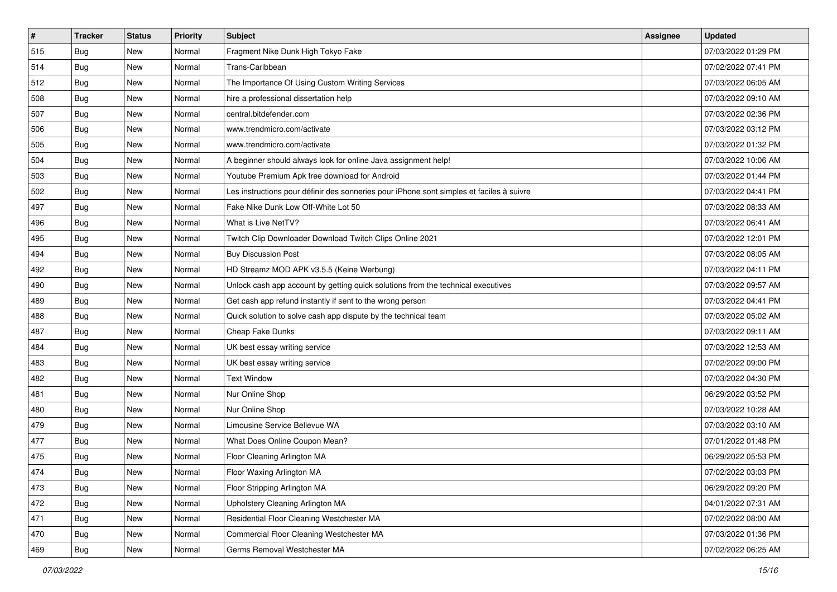| $\vert$ # | <b>Tracker</b> | <b>Status</b> | <b>Priority</b> | Subject                                                                                  | Assignee | <b>Updated</b>      |
|-----------|----------------|---------------|-----------------|------------------------------------------------------------------------------------------|----------|---------------------|
| 515       | <b>Bug</b>     | New           | Normal          | Fragment Nike Dunk High Tokyo Fake                                                       |          | 07/03/2022 01:29 PM |
| 514       | Bug            | New           | Normal          | Trans-Caribbean                                                                          |          | 07/02/2022 07:41 PM |
| 512       | <b>Bug</b>     | New           | Normal          | The Importance Of Using Custom Writing Services                                          |          | 07/03/2022 06:05 AM |
| 508       | Bug            | New           | Normal          | hire a professional dissertation help                                                    |          | 07/03/2022 09:10 AM |
| 507       | Bug            | New           | Normal          | central.bitdefender.com                                                                  |          | 07/03/2022 02:36 PM |
| 506       | <b>Bug</b>     | New           | Normal          | www.trendmicro.com/activate                                                              |          | 07/03/2022 03:12 PM |
| 505       | <b>Bug</b>     | New           | Normal          | www.trendmicro.com/activate                                                              |          | 07/03/2022 01:32 PM |
| 504       | Bug            | New           | Normal          | A beginner should always look for online Java assignment help!                           |          | 07/03/2022 10:06 AM |
| 503       | Bug            | New           | Normal          | Youtube Premium Apk free download for Android                                            |          | 07/03/2022 01:44 PM |
| 502       | <b>Bug</b>     | New           | Normal          | Les instructions pour définir des sonneries pour iPhone sont simples et faciles à suivre |          | 07/03/2022 04:41 PM |
| 497       | <b>Bug</b>     | New           | Normal          | Fake Nike Dunk Low Off-White Lot 50                                                      |          | 07/03/2022 08:33 AM |
| 496       | <b>Bug</b>     | New           | Normal          | What is Live NetTV?                                                                      |          | 07/03/2022 06:41 AM |
| 495       | Bug            | <b>New</b>    | Normal          | Twitch Clip Downloader Download Twitch Clips Online 2021                                 |          | 07/03/2022 12:01 PM |
| 494       | <b>Bug</b>     | New           | Normal          | <b>Buy Discussion Post</b>                                                               |          | 07/03/2022 08:05 AM |
| 492       | Bug            | New           | Normal          | HD Streamz MOD APK v3.5.5 (Keine Werbung)                                                |          | 07/03/2022 04:11 PM |
| 490       | <b>Bug</b>     | New           | Normal          | Unlock cash app account by getting quick solutions from the technical executives         |          | 07/03/2022 09:57 AM |
| 489       | <b>Bug</b>     | New           | Normal          | Get cash app refund instantly if sent to the wrong person                                |          | 07/03/2022 04:41 PM |
| 488       | Bug            | New           | Normal          | Quick solution to solve cash app dispute by the technical team                           |          | 07/03/2022 05:02 AM |
| 487       | <b>Bug</b>     | New           | Normal          | Cheap Fake Dunks                                                                         |          | 07/03/2022 09:11 AM |
| 484       | Bug            | New           | Normal          | UK best essay writing service                                                            |          | 07/03/2022 12:53 AM |
| 483       | <b>Bug</b>     | New           | Normal          | UK best essay writing service                                                            |          | 07/02/2022 09:00 PM |
| 482       | <b>Bug</b>     | New           | Normal          | <b>Text Window</b>                                                                       |          | 07/03/2022 04:30 PM |
| 481       | Bug            | New           | Normal          | Nur Online Shop                                                                          |          | 06/29/2022 03:52 PM |
| 480       | <b>Bug</b>     | New           | Normal          | Nur Online Shop                                                                          |          | 07/03/2022 10:28 AM |
| 479       | <b>Bug</b>     | New           | Normal          | Limousine Service Bellevue WA                                                            |          | 07/03/2022 03:10 AM |
| 477       | <b>Bug</b>     | <b>New</b>    | Normal          | What Does Online Coupon Mean?                                                            |          | 07/01/2022 01:48 PM |
| 475       | <b>Bug</b>     | New           | Normal          | Floor Cleaning Arlington MA                                                              |          | 06/29/2022 05:53 PM |
| 474       | <b>Bug</b>     | New           | Normal          | Floor Waxing Arlington MA                                                                |          | 07/02/2022 03:03 PM |
| 473       | <b>Bug</b>     | New           | Normal          | Floor Stripping Arlington MA                                                             |          | 06/29/2022 09:20 PM |
| 472       | <b>Bug</b>     | New           | Normal          | Upholstery Cleaning Arlington MA                                                         |          | 04/01/2022 07:31 AM |
| 471       | <b>Bug</b>     | New           | Normal          | Residential Floor Cleaning Westchester MA                                                |          | 07/02/2022 08:00 AM |
| 470       | <b>Bug</b>     | New           | Normal          | Commercial Floor Cleaning Westchester MA                                                 |          | 07/03/2022 01:36 PM |
| 469       | <b>Bug</b>     | New           | Normal          | Germs Removal Westchester MA                                                             |          | 07/02/2022 06:25 AM |